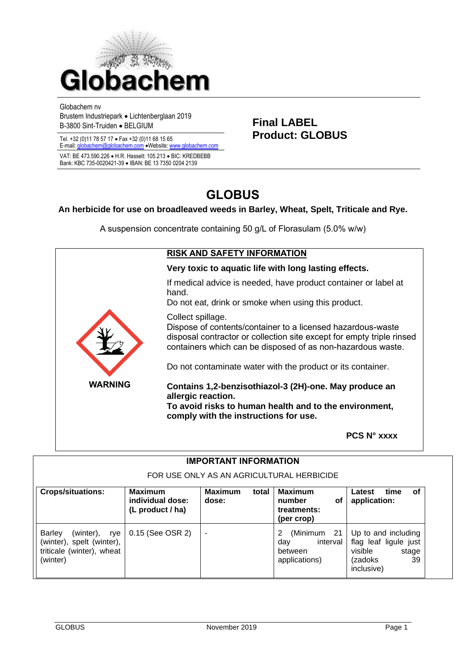

Globachem nv

Brustem Industriepark • Lichtenberglaan 2019

Tel. +32 (0)11 78 57 17 · Fax +32 (0)11 68 15 65

E-mail[: globachem@globachem.com](mailto:globachem@globachem.com) • Website[: www.globachem.com](mailto:globachem@globachem.com) VAT: BE 473.590.226 • H.R. Hasselt: 105.213 • BIC: KREDBEBB Bank: KBC 735-0020421-39 • IBAN: BE 13 7350 0204 2139

Brustein industriepark • Elghlengiaan 2019<br>
B-3800 Sint-Truiden • BELGIUM **Final LABEL**<br> **Final LABEL**<br> **Product: GLOBUS** 

# **GLOBUS**

# **An herbicide for use on broadleaved weeds in Barley, Wheat, Spelt, Triticale and Rye.**

A suspension concentrate containing 50 g/L of Florasulam (5.0% w/w)

|                                                                                                                                                                                                   | <b>RISK AND SAFETY INFORMATION</b>                                                                                                                                                                                       |
|---------------------------------------------------------------------------------------------------------------------------------------------------------------------------------------------------|--------------------------------------------------------------------------------------------------------------------------------------------------------------------------------------------------------------------------|
|                                                                                                                                                                                                   | Very toxic to aquatic life with long lasting effects.                                                                                                                                                                    |
|                                                                                                                                                                                                   | If medical advice is needed, have product container or label at<br>hand.<br>Do not eat, drink or smoke when using this product.                                                                                          |
|                                                                                                                                                                                                   | Collect spillage.<br>Dispose of contents/container to a licensed hazardous-waste<br>disposal contractor or collection site except for empty triple rinsed<br>containers which can be disposed of as non-hazardous waste. |
|                                                                                                                                                                                                   | Do not contaminate water with the product or its container.                                                                                                                                                              |
| <b>WARNING</b><br>Contains 1,2-benzisothiazol-3 (2H)-one. May produce an<br>allergic reaction.<br>To avoid risks to human health and to the environment,<br>comply with the instructions for use. |                                                                                                                                                                                                                          |
|                                                                                                                                                                                                   | <b>PCS N° xxxx</b>                                                                                                                                                                                                       |

| <b>IMPORTANT INFORMATION</b><br>FOR USE ONLY AS AN AGRICULTURAL HERBICIDE                               |                  |  |                                                            |                                                                                                 |
|---------------------------------------------------------------------------------------------------------|------------------|--|------------------------------------------------------------|-------------------------------------------------------------------------------------------------|
|                                                                                                         |                  |  |                                                            | <b>Crops/situations:</b>                                                                        |
| <b>Barley</b><br>(winter),<br>rye<br>(winter), spelt (winter),<br>triticale (winter), wheat<br>(winter) | 0.15 (See OSR 2) |  | (Minimum 21<br>interval<br>day<br>between<br>applications) | Up to and including<br>flag leaf ligule just<br>visible<br>stage<br>39<br>(zadoks<br>inclusive) |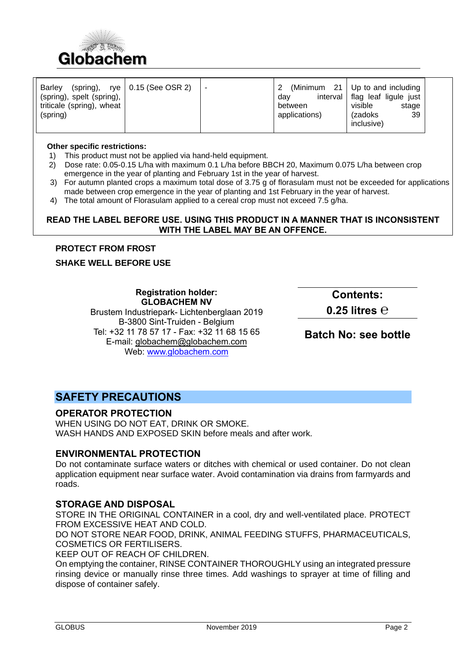

| Barley<br>(spring),<br>(spring), spelt (spring), | rye $\vert$ 0.15 (See OSR 2) | (Minimum 21<br>interval<br>dav | Up to and including<br>flag leaf ligule just<br>visible |  |
|--------------------------------------------------|------------------------------|--------------------------------|---------------------------------------------------------|--|
| triticale (spring), wheat<br>(spring)            |                              | between<br>applications)       | stage<br>39<br>(zadoks)                                 |  |
|                                                  |                              |                                | inclusive)                                              |  |

#### **Other specific restrictions:**

- 1)This product must not be applied via hand-held equipment.
- 2) Dose rate: 0.05-0.15 L/ha with maximum 0.1 L/ha before BBCH 20, Maximum 0.075 L/ha between crop emergence in the year of planting and February 1st in the year of harvest.
- 3) For autumn planted crops a maximum total dose of 3.75 g of florasulam must not be exceeded for applications made between crop emergence in the year of planting and 1st February in the year of harvest.
- 4) The total amount of Florasulam applied to a cereal crop must not exceed 7.5 g/ha.

#### **READ THE LABEL BEFORE USE. USING THIS PRODUCT IN A MANNER THAT IS INCONSISTENT WITH THE LABEL MAY BE AN OFFENCE.**

## **PROTECT FROM FROST**

## **SHAKE WELL BEFORE USE**

# **Registration holder: GLOBACHEM NV**

Brustem Industriepark- Lichtenberglaan 2019 B-3800 Sint-Truiden - Belgium Tel: +32 11 78 57 17 - Fax: +32 11 68 15 65 E-mail: [globachem@globachem.com](mailto:globachem@globachem.com) Web: [www.globachem.com](http://www.globachem.com/)

**Contents:** 

**0.25 litres ℮**

**Batch No: see bottle**

# **SAFETY PRECAUTIONS**

# **OPERATOR PROTECTION**

WHEN USING DO NOT EAT, DRINK OR SMOKE. WASH HANDS AND EXPOSED SKIN before meals and after work.

#### **ENVIRONMENTAL PROTECTION**

Do not contaminate surface waters or ditches with chemical or used container. Do not clean application equipment near surface water. Avoid contamination via drains from farmyards and roads.

## **STORAGE AND DISPOSAL**

STORE IN THE ORIGINAL CONTAINER in a cool, dry and well-ventilated place. PROTECT FROM EXCESSIVE HEAT AND COLD.

DO NOT STORE NEAR FOOD, DRINK, ANIMAL FEEDING STUFFS, PHARMACEUTICALS, COSMETICS OR FERTILISERS.

KEEP OUT OF REACH OF CHILDREN.

On emptying the container, RINSE CONTAINER THOROUGHLY using an integrated pressure rinsing device or manually rinse three times. Add washings to sprayer at time of filling and dispose of container safely.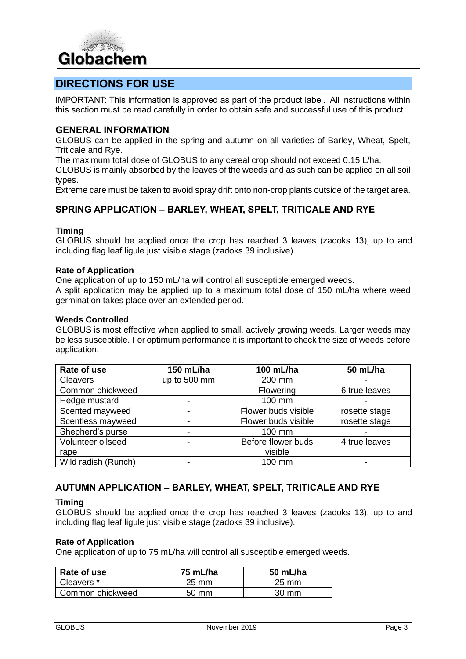

# **DIRECTIONS FOR USE**

IMPORTANT: This information is approved as part of the product label. All instructions within this section must be read carefully in order to obtain safe and successful use of this product.

# **GENERAL INFORMATION**

GLOBUS can be applied in the spring and autumn on all varieties of Barley, Wheat, Spelt, Triticale and Rye.

The maximum total dose of GLOBUS to any cereal crop should not exceed 0.15 L/ha.

GLOBUS is mainly absorbed by the leaves of the weeds and as such can be applied on all soil types.

Extreme care must be taken to avoid spray drift onto non-crop plants outside of the target area.

## **SPRING APPLICATION – BARLEY, WHEAT, SPELT, TRITICALE AND RYE**

#### **Timing**

GLOBUS should be applied once the crop has reached 3 leaves (zadoks 13), up to and including flag leaf ligule just visible stage (zadoks 39 inclusive).

#### **Rate of Application**

One application of up to 150 mL/ha will control all susceptible emerged weeds.

A split application may be applied up to a maximum total dose of 150 mL/ha where weed germination takes place over an extended period.

#### **Weeds Controlled**

GLOBUS is most effective when applied to small, actively growing weeds. Larger weeds may be less susceptible. For optimum performance it is important to check the size of weeds before application.

| Rate of use         | 150 mL/ha    | 100 mL/ha           | 50 mL/ha      |
|---------------------|--------------|---------------------|---------------|
| <b>Cleavers</b>     | up to 500 mm | 200 mm              |               |
| Common chickweed    |              | Flowering           | 6 true leaves |
| Hedge mustard       |              | 100 mm              |               |
| Scented mayweed     |              | Flower buds visible | rosette stage |
| Scentless mayweed   |              | Flower buds visible | rosette stage |
| Shepherd's purse    |              | 100 mm              |               |
| Volunteer oilseed   |              | Before flower buds  | 4 true leaves |
| rape                |              | visible             |               |
| Wild radish (Runch) |              | 100 mm              |               |

# **AUTUMN APPLICATION – BARLEY, WHEAT, SPELT, TRITICALE AND RYE**

#### **Timing**

GLOBUS should be applied once the crop has reached 3 leaves (zadoks 13), up to and including flag leaf ligule just visible stage (zadoks 39 inclusive).

#### **Rate of Application**

One application of up to 75 mL/ha will control all susceptible emerged weeds.

| Rate of use      | 75 mL/ha        | 50 mL/ha        |
|------------------|-----------------|-----------------|
| Cleavers *       | 25 mm           | $25 \text{ mm}$ |
| Common chickweed | $50 \text{ mm}$ | $30 \text{ mm}$ |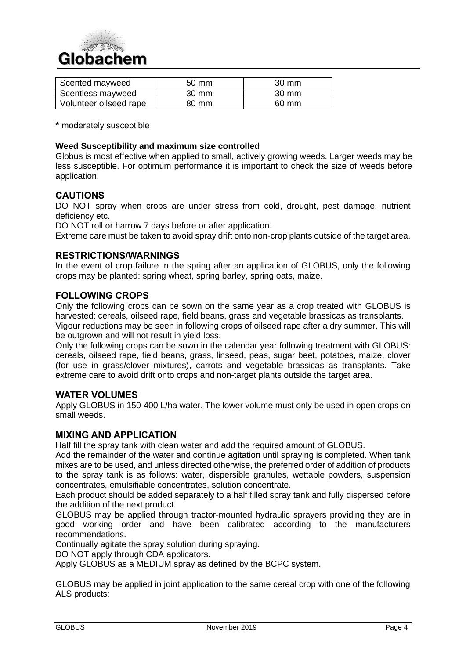

| Scented mayweed        | $50 \text{ mm}$ | $30 \text{ mm}$ |
|------------------------|-----------------|-----------------|
| Scentless mayweed      | $30 \text{ mm}$ | $30 \text{ mm}$ |
| Volunteer oilseed rape | 80 mm           | $60 \text{ mm}$ |

**\*** moderately susceptible

#### **Weed Susceptibility and maximum size controlled**

Globus is most effective when applied to small, actively growing weeds. Larger weeds may be less susceptible. For optimum performance it is important to check the size of weeds before application.

# **CAUTIONS**

DO NOT spray when crops are under stress from cold, drought, pest damage, nutrient deficiency etc.

DO NOT roll or harrow 7 days before or after application.

Extreme care must be taken to avoid spray drift onto non-crop plants outside of the target area.

## **RESTRICTIONS/WARNINGS**

In the event of crop failure in the spring after an application of GLOBUS, only the following crops may be planted: spring wheat, spring barley, spring oats, maize.

# **FOLLOWING CROPS**

Only the following crops can be sown on the same year as a crop treated with GLOBUS is harvested: cereals, oilseed rape, field beans, grass and vegetable brassicas as transplants.

Vigour reductions may be seen in following crops of oilseed rape after a dry summer. This will be outgrown and will not result in yield loss.

Only the following crops can be sown in the calendar year following treatment with GLOBUS: cereals, oilseed rape, field beans, grass, linseed, peas, sugar beet, potatoes, maize, clover (for use in grass/clover mixtures), carrots and vegetable brassicas as transplants. Take extreme care to avoid drift onto crops and non-target plants outside the target area.

#### **WATER VOLUMES**

Apply GLOBUS in 150-400 L/ha water. The lower volume must only be used in open crops on small weeds.

# **MIXING AND APPLICATION**

Half fill the spray tank with clean water and add the required amount of GLOBUS.

Add the remainder of the water and continue agitation until spraying is completed. When tank mixes are to be used, and unless directed otherwise, the preferred order of addition of products to the spray tank is as follows: water, dispersible granules, wettable powders, suspension concentrates, emulsifiable concentrates, solution concentrate.

Each product should be added separately to a half filled spray tank and fully dispersed before the addition of the next product.

GLOBUS may be applied through tractor-mounted hydraulic sprayers providing they are in good working order and have been calibrated according to the manufacturers recommendations.

Continually agitate the spray solution during spraying.

DO NOT apply through CDA applicators.

Apply GLOBUS as a MEDIUM spray as defined by the BCPC system.

GLOBUS may be applied in joint application to the same cereal crop with one of the following ALS products: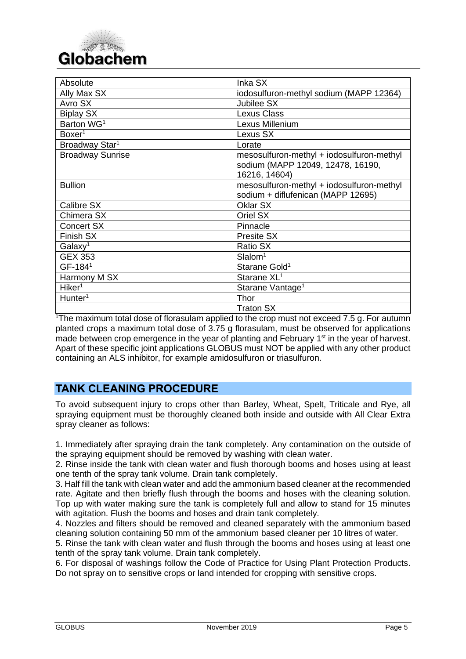

| Absolute                   | Inka SX                                                                                         |
|----------------------------|-------------------------------------------------------------------------------------------------|
| Ally Max SX                | iodosulfuron-methyl sodium (MAPP 12364)                                                         |
| Avro SX                    | Jubilee SX                                                                                      |
| <b>Biplay SX</b>           | Lexus Class                                                                                     |
| Barton WG <sup>1</sup>     | Lexus Millenium                                                                                 |
| Boxer <sup>1</sup>         | Lexus SX                                                                                        |
| Broadway Star <sup>1</sup> | Lorate                                                                                          |
| <b>Broadway Sunrise</b>    | mesosulfuron-methyl + iodosulfuron-methyl<br>sodium (MAPP 12049, 12478, 16190,<br>16216, 14604) |
| <b>Bullion</b>             | mesosulfuron-methyl + iodosulfuron-methyl<br>sodium + diflufenican (MAPP 12695)                 |
| Calibre SX                 | Oklar SX                                                                                        |
| Chimera SX                 | Oriel SX                                                                                        |
| <b>Concert SX</b>          | Pinnacle                                                                                        |
| Finish SX                  | Presite SX                                                                                      |
| Galaxy <sup>1</sup>        | <b>Ratio SX</b>                                                                                 |
| <b>GEX 353</b>             | Slalom <sup>1</sup>                                                                             |
| GF-1841                    | Starane Gold <sup>1</sup>                                                                       |
| Harmony M SX               | Starane XL <sup>1</sup>                                                                         |
| Hiker <sup>1</sup>         | Starane Vantage <sup>1</sup>                                                                    |
| $H$ unter <sup>1</sup>     | <b>Thor</b>                                                                                     |
|                            | <b>Traton SX</b>                                                                                |

<sup>1</sup>The maximum total dose of florasulam applied to the crop must not exceed 7.5 g. For autumn planted crops a maximum total dose of 3.75 g florasulam, must be observed for applications made between crop emergence in the year of planting and February 1<sup>st</sup> in the year of harvest. Apart of these specific joint applications GLOBUS must NOT be applied with any other product containing an ALS inhibitor, for example amidosulfuron or triasulfuron.

# **TANK CLEANING PROCEDURE**

To avoid subsequent injury to crops other than Barley, Wheat, Spelt, Triticale and Rye, all spraying equipment must be thoroughly cleaned both inside and outside with All Clear Extra spray cleaner as follows:

1. Immediately after spraying drain the tank completely. Any contamination on the outside of the spraying equipment should be removed by washing with clean water.

2. Rinse inside the tank with clean water and flush thorough booms and hoses using at least one tenth of the spray tank volume. Drain tank completely.

3. Half fill the tank with clean water and add the ammonium based cleaner at the recommended rate. Agitate and then briefly flush through the booms and hoses with the cleaning solution. Top up with water making sure the tank is completely full and allow to stand for 15 minutes with agitation. Flush the booms and hoses and drain tank completely.

4. Nozzles and filters should be removed and cleaned separately with the ammonium based cleaning solution containing 50 mm of the ammonium based cleaner per 10 litres of water.

5. Rinse the tank with clean water and flush through the booms and hoses using at least one tenth of the spray tank volume. Drain tank completely.

6. For disposal of washings follow the Code of Practice for Using Plant Protection Products. Do not spray on to sensitive crops or land intended for cropping with sensitive crops.